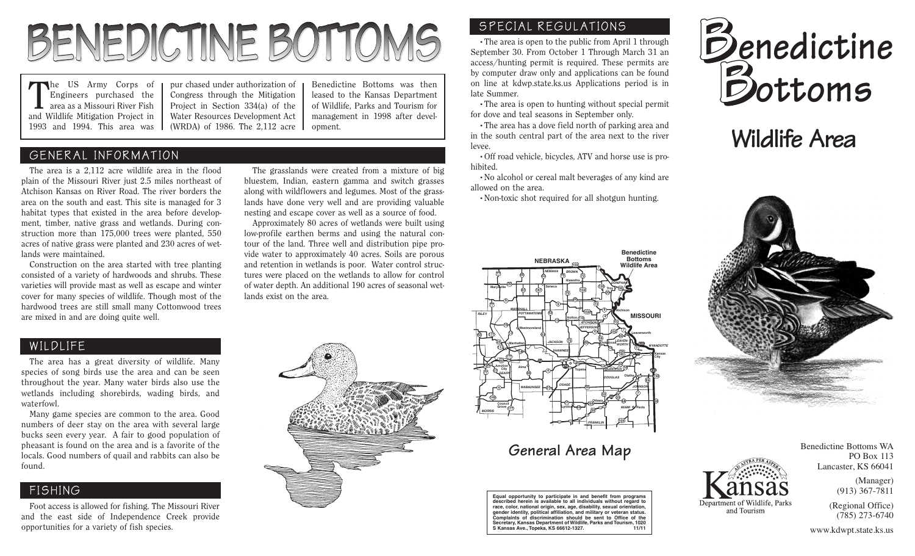# BENEDICTINE BOTTOMS

The US Army Corps of Engineers purchased the area as a Missouri River Fish and Wildlife Mitigation Project in 1993 and 1994. This area was

pur chased under authorization of Congress through the Mitigation Project in Section 334(a) of the Water Resources Development Act (WRDA) of 1986. The 2,112 acre

Benedictine Bottoms was then leased to the Kansas Department of Wildlife, Parks and Tourism for management in 1998 after development.

The grasslands were created from a mixture of big bluestem, Indian, eastern gamma and switch grasses along with wildflowers and legumes. Most of the grasslands have done very well and are providing valuable nesting and escape cover as well as a source of food. Approximately 80 acres of wetlands were built using low-profile earthen berms and using the natural contour of the land. Three well and distribution pipe provide water to approximately 40 acres. Soils are porous and retention in wetlands is poor. Water control structures were placed on the wetlands to allow for control of water depth. An additional 190 acres of seasonal wet-

lands exist on the area.

#### GENERAL INFORMATION

The area is a 2,112 acre wildlife area in the flood plain of the Missouri River just 2.5 miles northeast of Atchison Kansas on River Road. The river borders the area on the south and east. This site is managed for 3 habitat types that existed in the area before development, timber, native grass and wetlands. During construction more than 175,000 trees were planted, 550 acres of native grass were planted and 230 acres of wetlands were maintained.

Construction on the area started with tree planting consisted of a variety of hardwoods and shrubs. These varieties will provide mast as well as escape and winter cover for many species of wildlife. Though most of the hardwood trees are still small many Cottonwood trees are mixed in and are doing quite well.

#### WILDLIFE

The area has a great diversity of wildlife. Many species of song birds use the area and can be seen throughout the year. Many water birds also use the wetlands including shorebirds, wading birds, and waterfowl.

Many game species are common to the area. Good numbers of deer stay on the area with several large bucks seen every year. A fair to good population of pheasant is found on the area and is a favorite of the locals. Good numbers of quail and rabbits can also be found.

#### FISHING

Foot access is allowed for fishing. The Missouri River and the east side of Independence Creek provide opportunities for a variety of fish species.



#### SPECIAL REGULATIONS

•The area is open to the public from April 1 through September 30. From October 1 Through March 31 an access/hunting permit is required. These permits are by computer draw only and applications can be found on line at kdwp.state.ks.us Applications period is in late Summer.

•The area is open to hunting without special permit for dove and teal seasons in September only.

•The area has a dove field north of parking area and in the south central part of the area next to the river levee.

•Off road vehicle, bicycles, ATV and horse use is prohibited.

•No alcohol or cereal malt beverages of any kind are allowed on the area.

•Non-toxic shot required for all shotgun hunting.



### **General Area Map**

**Equal opportunity to participate in and benefit from programs described herein is available to all individuals without regard to** race, color, national origin, sex, age, disability, sexual orien **gender identity, political affiliation, and military or veteran status. Complaints of discrimination should be sent to Office of the Secretary, Kansas Department of Wildlife, Parks and Tourism, 1020 S Kansas Ave., Topeka, KS 66612-1327. 11/11**



## **Wildlife Area**



Benedictine Bottoms WA PO Box 113 Lancaster, KS 66041 (Manager)

Department of Wildlife, Parks and Tourism

(913) 367-7811

(Regional Office) (785) 273-6740

www.kdwpt.state.ks.us